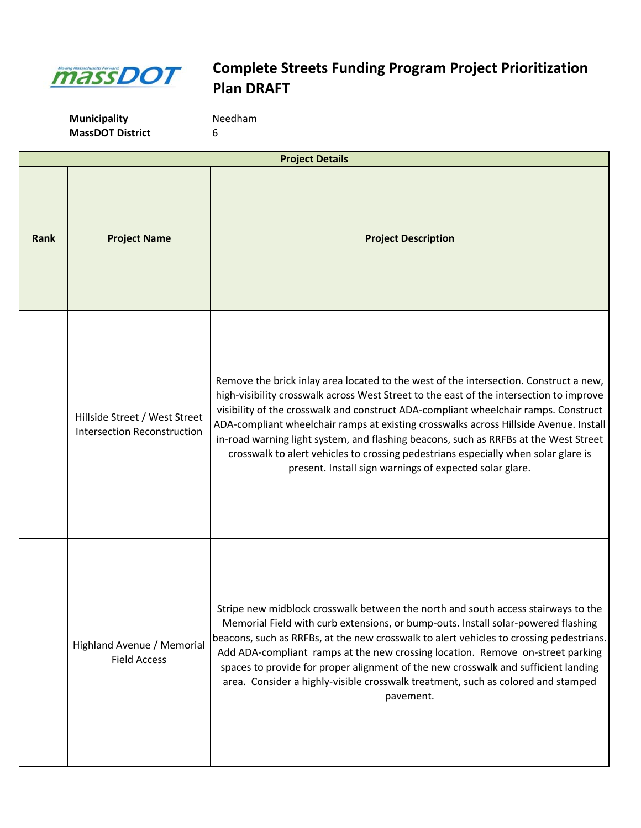

| <b>Project Details</b> |                                                                     |                                                                                                                                                                                                                                                                                                                                                                                                                                                                                                                                                                                                           |
|------------------------|---------------------------------------------------------------------|-----------------------------------------------------------------------------------------------------------------------------------------------------------------------------------------------------------------------------------------------------------------------------------------------------------------------------------------------------------------------------------------------------------------------------------------------------------------------------------------------------------------------------------------------------------------------------------------------------------|
| Rank                   | <b>Project Name</b>                                                 | <b>Project Description</b>                                                                                                                                                                                                                                                                                                                                                                                                                                                                                                                                                                                |
|                        | Hillside Street / West Street<br><b>Intersection Reconstruction</b> | Remove the brick inlay area located to the west of the intersection. Construct a new,<br>high-visibility crosswalk across West Street to the east of the intersection to improve<br>visibility of the crosswalk and construct ADA-compliant wheelchair ramps. Construct<br>ADA-compliant wheelchair ramps at existing crosswalks across Hillside Avenue. Install<br>in-road warning light system, and flashing beacons, such as RRFBs at the West Street<br>crosswalk to alert vehicles to crossing pedestrians especially when solar glare is<br>present. Install sign warnings of expected solar glare. |
|                        | Highland Avenue / Memorial<br><b>Field Access</b>                   | Stripe new midblock crosswalk between the north and south access stairways to the<br>Memorial Field with curb extensions, or bump-outs. Install solar-powered flashing<br>beacons, such as RRFBs, at the new crosswalk to alert vehicles to crossing pedestrians.<br>Add ADA-compliant ramps at the new crossing location. Remove on-street parking<br>spaces to provide for proper alignment of the new crosswalk and sufficient landing<br>area. Consider a highly-visible crosswalk treatment, such as colored and stamped<br>pavement.                                                                |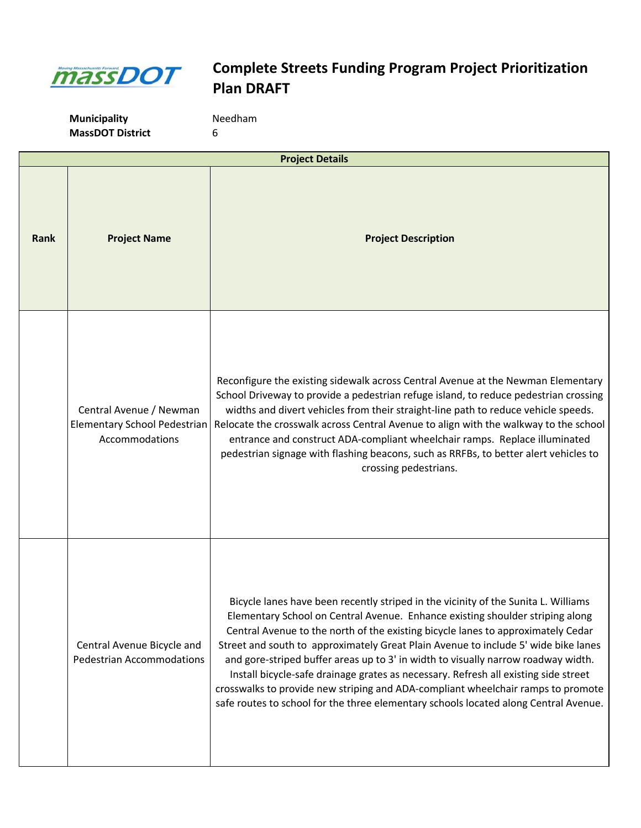

| <b>Project Details</b> |                                                                           |                                                                                                                                                                                                                                                                                                                                                                                                                                                                                                                                                                                                                                                                                                       |
|------------------------|---------------------------------------------------------------------------|-------------------------------------------------------------------------------------------------------------------------------------------------------------------------------------------------------------------------------------------------------------------------------------------------------------------------------------------------------------------------------------------------------------------------------------------------------------------------------------------------------------------------------------------------------------------------------------------------------------------------------------------------------------------------------------------------------|
| Rank                   | <b>Project Name</b>                                                       | <b>Project Description</b>                                                                                                                                                                                                                                                                                                                                                                                                                                                                                                                                                                                                                                                                            |
|                        | Central Avenue / Newman<br>Elementary School Pedestrian<br>Accommodations | Reconfigure the existing sidewalk across Central Avenue at the Newman Elementary<br>School Driveway to provide a pedestrian refuge island, to reduce pedestrian crossing<br>widths and divert vehicles from their straight-line path to reduce vehicle speeds.<br>Relocate the crosswalk across Central Avenue to align with the walkway to the school<br>entrance and construct ADA-compliant wheelchair ramps. Replace illuminated<br>pedestrian signage with flashing beacons, such as RRFBs, to better alert vehicles to<br>crossing pedestrians.                                                                                                                                                 |
|                        | Central Avenue Bicycle and<br><b>Pedestrian Accommodations</b>            | Bicycle lanes have been recently striped in the vicinity of the Sunita L. Williams<br>Elementary School on Central Avenue. Enhance existing shoulder striping along<br>Central Avenue to the north of the existing bicycle lanes to approximately Cedar<br>Street and south to approximately Great Plain Avenue to include 5' wide bike lanes<br>and gore-striped buffer areas up to 3' in width to visually narrow roadway width.<br>Install bicycle-safe drainage grates as necessary. Refresh all existing side street<br>crosswalks to provide new striping and ADA-compliant wheelchair ramps to promote<br>safe routes to school for the three elementary schools located along Central Avenue. |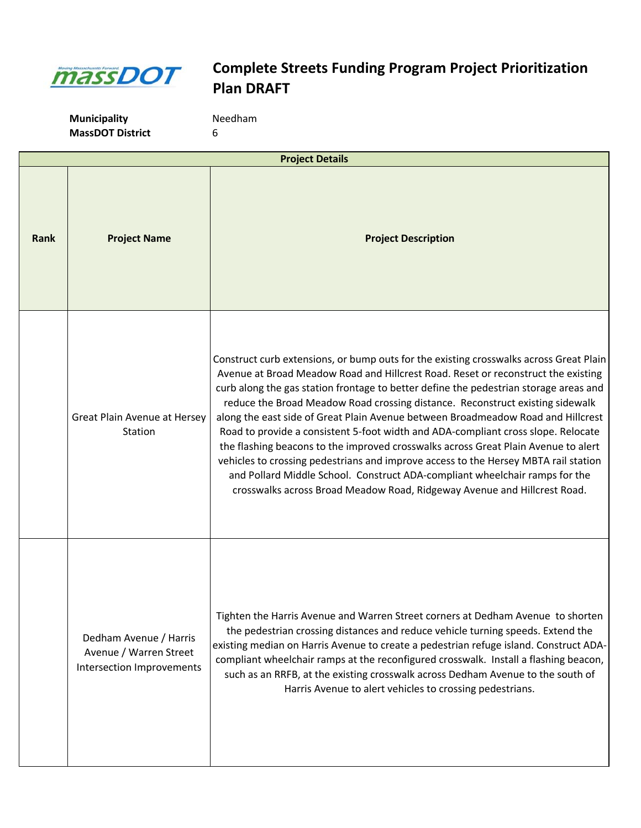

| <b>Project Details</b> |                                                                               |                                                                                                                                                                                                                                                                                                                                                                                                                                                                                                                                                                                                                                                                                                                                                                                                                                                                        |
|------------------------|-------------------------------------------------------------------------------|------------------------------------------------------------------------------------------------------------------------------------------------------------------------------------------------------------------------------------------------------------------------------------------------------------------------------------------------------------------------------------------------------------------------------------------------------------------------------------------------------------------------------------------------------------------------------------------------------------------------------------------------------------------------------------------------------------------------------------------------------------------------------------------------------------------------------------------------------------------------|
| <b>Rank</b>            | <b>Project Name</b>                                                           | <b>Project Description</b>                                                                                                                                                                                                                                                                                                                                                                                                                                                                                                                                                                                                                                                                                                                                                                                                                                             |
|                        | Great Plain Avenue at Hersey<br>Station                                       | Construct curb extensions, or bump outs for the existing crosswalks across Great Plain<br>Avenue at Broad Meadow Road and Hillcrest Road. Reset or reconstruct the existing<br>curb along the gas station frontage to better define the pedestrian storage areas and<br>reduce the Broad Meadow Road crossing distance. Reconstruct existing sidewalk<br>along the east side of Great Plain Avenue between Broadmeadow Road and Hillcrest<br>Road to provide a consistent 5-foot width and ADA-compliant cross slope. Relocate<br>the flashing beacons to the improved crosswalks across Great Plain Avenue to alert<br>vehicles to crossing pedestrians and improve access to the Hersey MBTA rail station<br>and Pollard Middle School. Construct ADA-compliant wheelchair ramps for the<br>crosswalks across Broad Meadow Road, Ridgeway Avenue and Hillcrest Road. |
|                        | Dedham Avenue / Harris<br>Avenue / Warren Street<br>Intersection Improvements | Tighten the Harris Avenue and Warren Street corners at Dedham Avenue to shorten<br>the pedestrian crossing distances and reduce vehicle turning speeds. Extend the<br>existing median on Harris Avenue to create a pedestrian refuge island. Construct ADA-<br>compliant wheelchair ramps at the reconfigured crosswalk. Install a flashing beacon,<br>such as an RRFB, at the existing crosswalk across Dedham Avenue to the south of<br>Harris Avenue to alert vehicles to crossing pedestrians.                                                                                                                                                                                                                                                                                                                                                                     |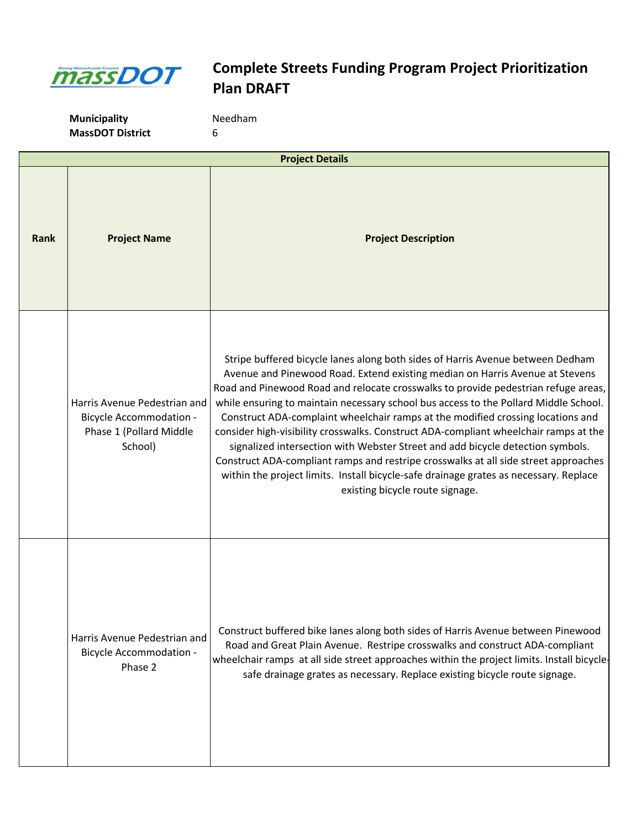

| <b>Project Details</b> |                                                                                                      |                                                                                                                                                                                                                                                                                                                                                                                                                                                                                                                                                                                                                                                                                                                                                                                                                              |
|------------------------|------------------------------------------------------------------------------------------------------|------------------------------------------------------------------------------------------------------------------------------------------------------------------------------------------------------------------------------------------------------------------------------------------------------------------------------------------------------------------------------------------------------------------------------------------------------------------------------------------------------------------------------------------------------------------------------------------------------------------------------------------------------------------------------------------------------------------------------------------------------------------------------------------------------------------------------|
| Rank                   | <b>Project Name</b>                                                                                  | <b>Project Description</b>                                                                                                                                                                                                                                                                                                                                                                                                                                                                                                                                                                                                                                                                                                                                                                                                   |
|                        | Harris Avenue Pedestrian and<br><b>Bicycle Accommodation -</b><br>Phase 1 (Pollard Middle<br>School) | Stripe buffered bicycle lanes along both sides of Harris Avenue between Dedham<br>Avenue and Pinewood Road. Extend existing median on Harris Avenue at Stevens<br>Road and Pinewood Road and relocate crosswalks to provide pedestrian refuge areas,<br>while ensuring to maintain necessary school bus access to the Pollard Middle School.<br>Construct ADA-complaint wheelchair ramps at the modified crossing locations and<br>consider high-visibility crosswalks. Construct ADA-compliant wheelchair ramps at the<br>signalized intersection with Webster Street and add bicycle detection symbols.<br>Construct ADA-compliant ramps and restripe crosswalks at all side street approaches<br>within the project limits. Install bicycle-safe drainage grates as necessary. Replace<br>existing bicycle route signage. |
|                        | Harris Avenue Pedestrian and<br><b>Bicycle Accommodation -</b><br>Phase 2                            | Construct buffered bike lanes along both sides of Harris Avenue between Pinewood<br>Road and Great Plain Avenue. Restripe crosswalks and construct ADA-compliant<br>wheelchair ramps at all side street approaches within the project limits. Install bicycle-<br>safe drainage grates as necessary. Replace existing bicycle route signage.                                                                                                                                                                                                                                                                                                                                                                                                                                                                                 |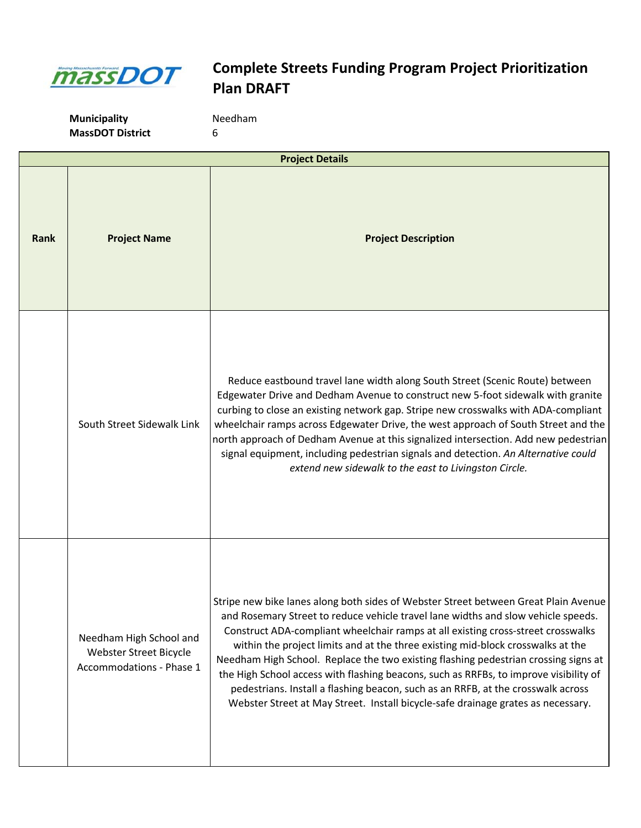

|      | <b>Project Details</b>                                                        |                                                                                                                                                                                                                                                                                                                                                                                                                                                                                                                                                                                                                                                                                                         |
|------|-------------------------------------------------------------------------------|---------------------------------------------------------------------------------------------------------------------------------------------------------------------------------------------------------------------------------------------------------------------------------------------------------------------------------------------------------------------------------------------------------------------------------------------------------------------------------------------------------------------------------------------------------------------------------------------------------------------------------------------------------------------------------------------------------|
| Rank | <b>Project Name</b>                                                           | <b>Project Description</b>                                                                                                                                                                                                                                                                                                                                                                                                                                                                                                                                                                                                                                                                              |
|      | South Street Sidewalk Link                                                    | Reduce eastbound travel lane width along South Street (Scenic Route) between<br>Edgewater Drive and Dedham Avenue to construct new 5-foot sidewalk with granite<br>curbing to close an existing network gap. Stripe new crosswalks with ADA-compliant<br>wheelchair ramps across Edgewater Drive, the west approach of South Street and the<br>north approach of Dedham Avenue at this signalized intersection. Add new pedestrian<br>signal equipment, including pedestrian signals and detection. An Alternative could<br>extend new sidewalk to the east to Livingston Circle.                                                                                                                       |
|      | Needham High School and<br>Webster Street Bicycle<br>Accommodations - Phase 1 | Stripe new bike lanes along both sides of Webster Street between Great Plain Avenue<br>and Rosemary Street to reduce vehicle travel lane widths and slow vehicle speeds.<br>Construct ADA-compliant wheelchair ramps at all existing cross-street crosswalks<br>within the project limits and at the three existing mid-block crosswalks at the<br>Needham High School. Replace the two existing flashing pedestrian crossing signs at<br>the High School access with flashing beacons, such as RRFBs, to improve visibility of<br>pedestrians. Install a flashing beacon, such as an RRFB, at the crosswalk across<br>Webster Street at May Street. Install bicycle-safe drainage grates as necessary. |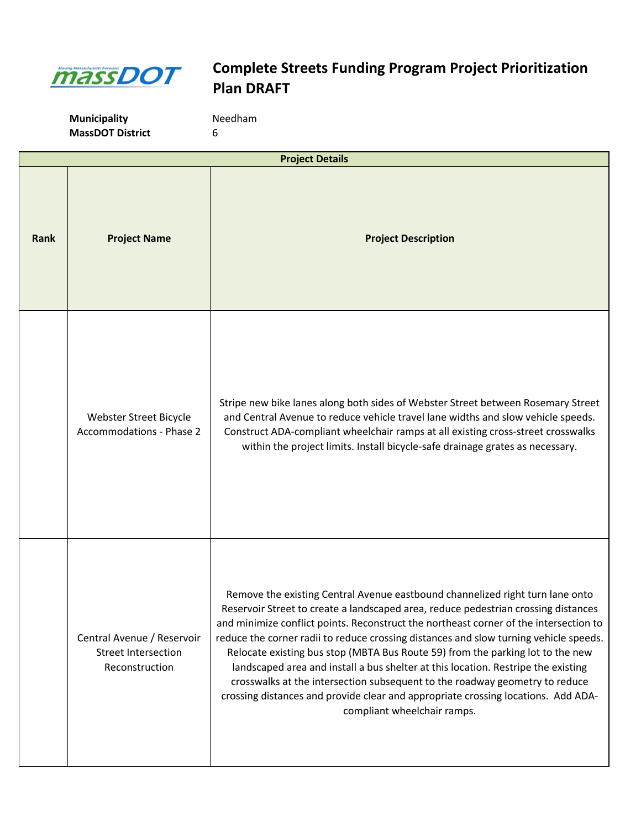

|             | <b>Project Details</b>                                                     |                                                                                                                                                                                                                                                                                                                                                                                                                                                                                                                                                                                                                                                                                                                                 |  |
|-------------|----------------------------------------------------------------------------|---------------------------------------------------------------------------------------------------------------------------------------------------------------------------------------------------------------------------------------------------------------------------------------------------------------------------------------------------------------------------------------------------------------------------------------------------------------------------------------------------------------------------------------------------------------------------------------------------------------------------------------------------------------------------------------------------------------------------------|--|
| <b>Rank</b> | <b>Project Name</b>                                                        | <b>Project Description</b>                                                                                                                                                                                                                                                                                                                                                                                                                                                                                                                                                                                                                                                                                                      |  |
|             | Webster Street Bicycle<br><b>Accommodations - Phase 2</b>                  | Stripe new bike lanes along both sides of Webster Street between Rosemary Street<br>and Central Avenue to reduce vehicle travel lane widths and slow vehicle speeds.<br>Construct ADA-compliant wheelchair ramps at all existing cross-street crosswalks<br>within the project limits. Install bicycle-safe drainage grates as necessary.                                                                                                                                                                                                                                                                                                                                                                                       |  |
|             | Central Avenue / Reservoir<br><b>Street Intersection</b><br>Reconstruction | Remove the existing Central Avenue eastbound channelized right turn lane onto<br>Reservoir Street to create a landscaped area, reduce pedestrian crossing distances<br>and minimize conflict points. Reconstruct the northeast corner of the intersection to<br>reduce the corner radii to reduce crossing distances and slow turning vehicle speeds.<br>Relocate existing bus stop (MBTA Bus Route 59) from the parking lot to the new<br>landscaped area and install a bus shelter at this location. Restripe the existing<br>crosswalks at the intersection subsequent to the roadway geometry to reduce<br>crossing distances and provide clear and appropriate crossing locations. Add ADA-<br>compliant wheelchair ramps. |  |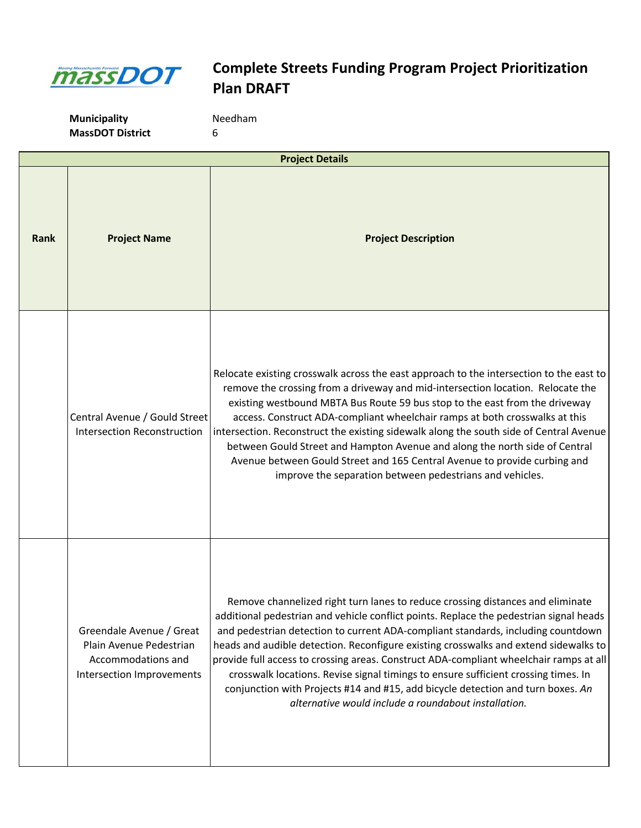

|      | <b>Project Details</b>                                                                                 |                                                                                                                                                                                                                                                                                                                                                                                                                                                                                                                                                                                                                                                                                 |
|------|--------------------------------------------------------------------------------------------------------|---------------------------------------------------------------------------------------------------------------------------------------------------------------------------------------------------------------------------------------------------------------------------------------------------------------------------------------------------------------------------------------------------------------------------------------------------------------------------------------------------------------------------------------------------------------------------------------------------------------------------------------------------------------------------------|
| Rank | <b>Project Name</b>                                                                                    | <b>Project Description</b>                                                                                                                                                                                                                                                                                                                                                                                                                                                                                                                                                                                                                                                      |
|      | Central Avenue / Gould Street<br><b>Intersection Reconstruction</b>                                    | Relocate existing crosswalk across the east approach to the intersection to the east to<br>remove the crossing from a driveway and mid-intersection location. Relocate the<br>existing westbound MBTA Bus Route 59 bus stop to the east from the driveway<br>access. Construct ADA-compliant wheelchair ramps at both crosswalks at this<br>intersection. Reconstruct the existing sidewalk along the south side of Central Avenue<br>between Gould Street and Hampton Avenue and along the north side of Central<br>Avenue between Gould Street and 165 Central Avenue to provide curbing and<br>improve the separation between pedestrians and vehicles.                      |
|      | Greendale Avenue / Great<br>Plain Avenue Pedestrian<br>Accommodations and<br>Intersection Improvements | Remove channelized right turn lanes to reduce crossing distances and eliminate<br>additional pedestrian and vehicle conflict points. Replace the pedestrian signal heads<br>and pedestrian detection to current ADA-compliant standards, including countdown<br>heads and audible detection. Reconfigure existing crosswalks and extend sidewalks to<br>provide full access to crossing areas. Construct ADA-compliant wheelchair ramps at all<br>crosswalk locations. Revise signal timings to ensure sufficient crossing times. In<br>conjunction with Projects #14 and #15, add bicycle detection and turn boxes. An<br>alternative would include a roundabout installation. |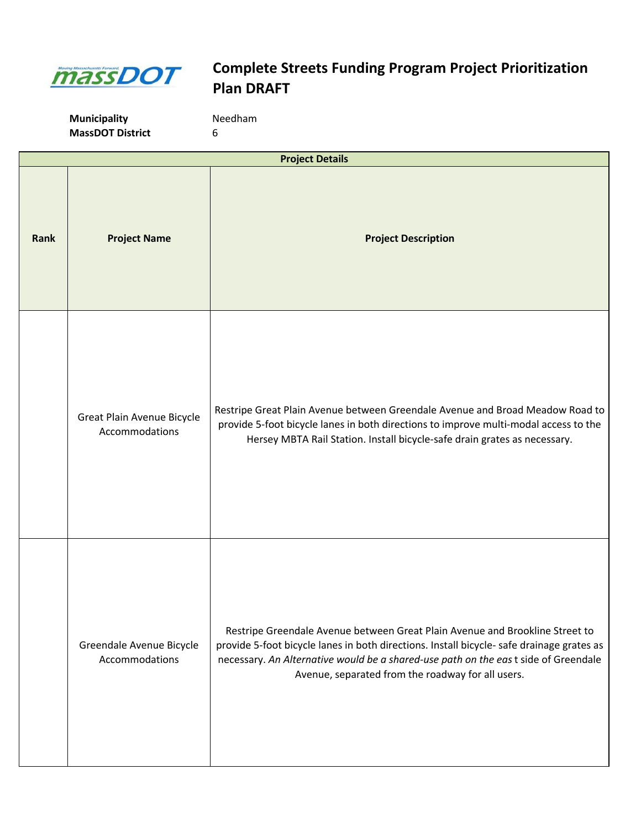

**Municipality** Needham **MassDOT District** 6

**Rank Project Name Project Name Project Description Project Details** Great Plain Avenue Bicycle Accommodations Restripe Great Plain Avenue between Greendale Avenue and Broad Meadow Road to provide 5-foot bicycle lanes in both directions to improve multi-modal access to the Hersey MBTA Rail Station. Install bicycle-safe drain grates as necessary. Greendale Avenue Bicycle Accommodations Restripe Greendale Avenue between Great Plain Avenue and Brookline Street to provide 5-foot bicycle lanes in both directions. Install bicycle- safe drainage grates as necessary. *An Alternative would be a shared-use path on the eas*t side of Greendale Avenue, separated from the roadway for all users.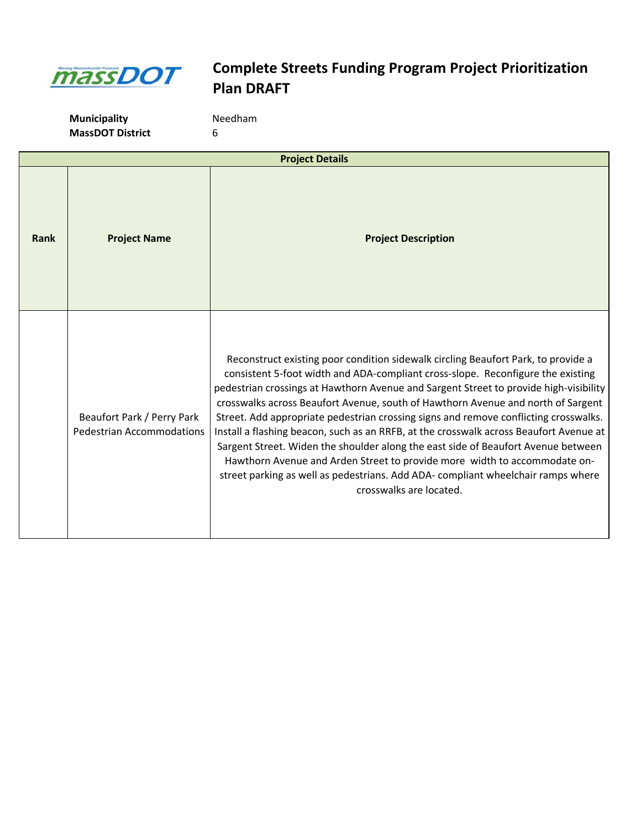

| <b>Project Details</b> |                                                                |                                                                                                                                                                                                                                                                                                                                                                                                                                                                                                                                                                                                                                                                                                                                                                                                                      |
|------------------------|----------------------------------------------------------------|----------------------------------------------------------------------------------------------------------------------------------------------------------------------------------------------------------------------------------------------------------------------------------------------------------------------------------------------------------------------------------------------------------------------------------------------------------------------------------------------------------------------------------------------------------------------------------------------------------------------------------------------------------------------------------------------------------------------------------------------------------------------------------------------------------------------|
| Rank                   | <b>Project Name</b>                                            | <b>Project Description</b>                                                                                                                                                                                                                                                                                                                                                                                                                                                                                                                                                                                                                                                                                                                                                                                           |
|                        | Beaufort Park / Perry Park<br><b>Pedestrian Accommodations</b> | Reconstruct existing poor condition sidewalk circling Beaufort Park, to provide a<br>consistent 5-foot width and ADA-compliant cross-slope. Reconfigure the existing<br>pedestrian crossings at Hawthorn Avenue and Sargent Street to provide high-visibility<br>crosswalks across Beaufort Avenue, south of Hawthorn Avenue and north of Sargent<br>Street. Add appropriate pedestrian crossing signs and remove conflicting crosswalks.<br>Install a flashing beacon, such as an RRFB, at the crosswalk across Beaufort Avenue at<br>Sargent Street. Widen the shoulder along the east side of Beaufort Avenue between<br>Hawthorn Avenue and Arden Street to provide more width to accommodate on-<br>street parking as well as pedestrians. Add ADA- compliant wheelchair ramps where<br>crosswalks are located. |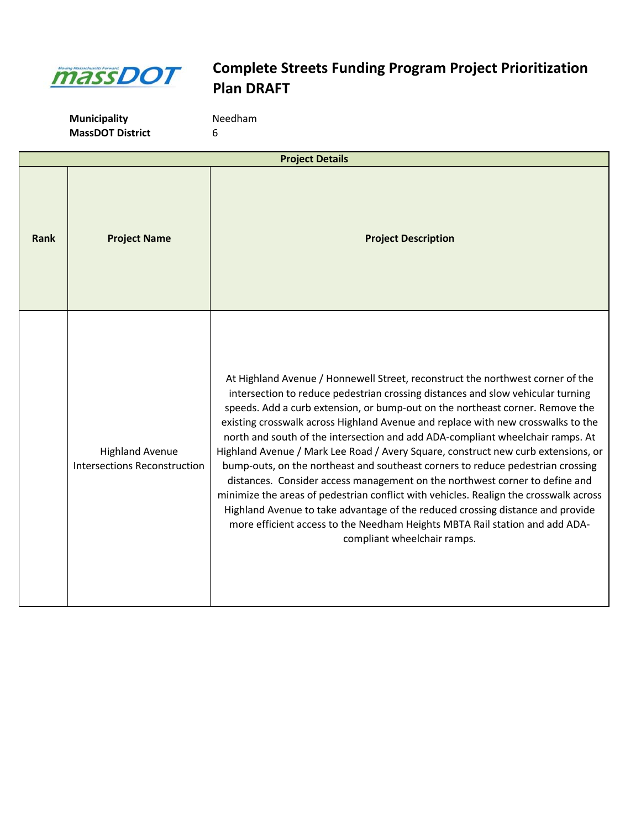

| <b>Project Details</b> |                                                               |                                                                                                                                                                                                                                                                                                                                                                                                                                                                                                                                                                                                                                                                                                                                                                                                                                                                                                                                                                          |
|------------------------|---------------------------------------------------------------|--------------------------------------------------------------------------------------------------------------------------------------------------------------------------------------------------------------------------------------------------------------------------------------------------------------------------------------------------------------------------------------------------------------------------------------------------------------------------------------------------------------------------------------------------------------------------------------------------------------------------------------------------------------------------------------------------------------------------------------------------------------------------------------------------------------------------------------------------------------------------------------------------------------------------------------------------------------------------|
| Rank                   | <b>Project Name</b>                                           | <b>Project Description</b>                                                                                                                                                                                                                                                                                                                                                                                                                                                                                                                                                                                                                                                                                                                                                                                                                                                                                                                                               |
|                        | <b>Highland Avenue</b><br><b>Intersections Reconstruction</b> | At Highland Avenue / Honnewell Street, reconstruct the northwest corner of the<br>intersection to reduce pedestrian crossing distances and slow vehicular turning<br>speeds. Add a curb extension, or bump-out on the northeast corner. Remove the<br>existing crosswalk across Highland Avenue and replace with new crosswalks to the<br>north and south of the intersection and add ADA-compliant wheelchair ramps. At<br>Highland Avenue / Mark Lee Road / Avery Square, construct new curb extensions, or<br>bump-outs, on the northeast and southeast corners to reduce pedestrian crossing<br>distances. Consider access management on the northwest corner to define and<br>minimize the areas of pedestrian conflict with vehicles. Realign the crosswalk across<br>Highland Avenue to take advantage of the reduced crossing distance and provide<br>more efficient access to the Needham Heights MBTA Rail station and add ADA-<br>compliant wheelchair ramps. |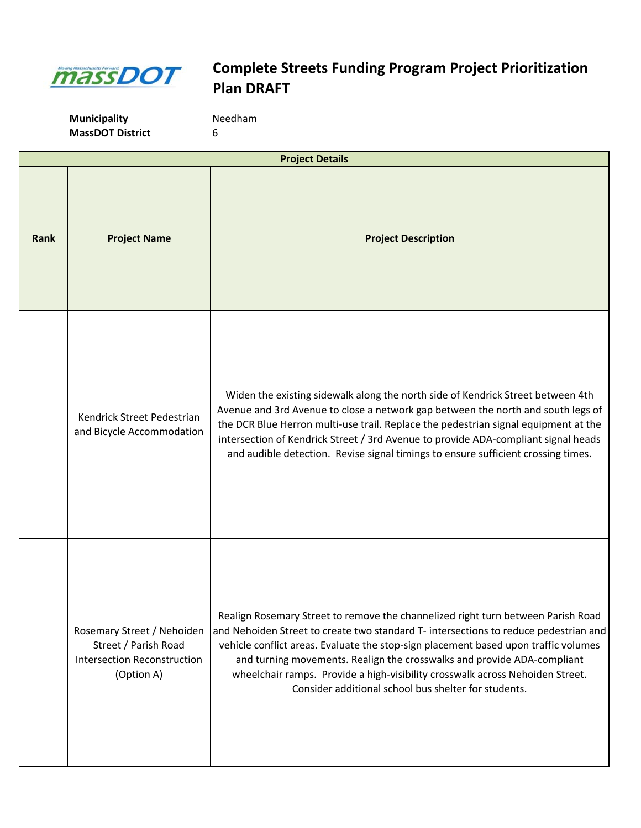

**Municipality MassDOT District** 6

| Needham |  |
|---------|--|
|         |  |

| <b>Project Details</b> |                                                                                                        |                                                                                                                                                                                                                                                                                                                                                                                                                                                                                     |
|------------------------|--------------------------------------------------------------------------------------------------------|-------------------------------------------------------------------------------------------------------------------------------------------------------------------------------------------------------------------------------------------------------------------------------------------------------------------------------------------------------------------------------------------------------------------------------------------------------------------------------------|
| Rank                   | <b>Project Name</b>                                                                                    | <b>Project Description</b>                                                                                                                                                                                                                                                                                                                                                                                                                                                          |
|                        | Kendrick Street Pedestrian<br>and Bicycle Accommodation                                                | Widen the existing sidewalk along the north side of Kendrick Street between 4th<br>Avenue and 3rd Avenue to close a network gap between the north and south legs of<br>the DCR Blue Herron multi-use trail. Replace the pedestrian signal equipment at the<br>intersection of Kendrick Street / 3rd Avenue to provide ADA-compliant signal heads<br>and audible detection. Revise signal timings to ensure sufficient crossing times.                                               |
|                        | Rosemary Street / Nehoiden<br>Street / Parish Road<br><b>Intersection Reconstruction</b><br>(Option A) | Realign Rosemary Street to remove the channelized right turn between Parish Road<br>and Nehoiden Street to create two standard T- intersections to reduce pedestrian and<br>vehicle conflict areas. Evaluate the stop-sign placement based upon traffic volumes<br>and turning movements. Realign the crosswalks and provide ADA-compliant<br>wheelchair ramps. Provide a high-visibility crosswalk across Nehoiden Street.<br>Consider additional school bus shelter for students. |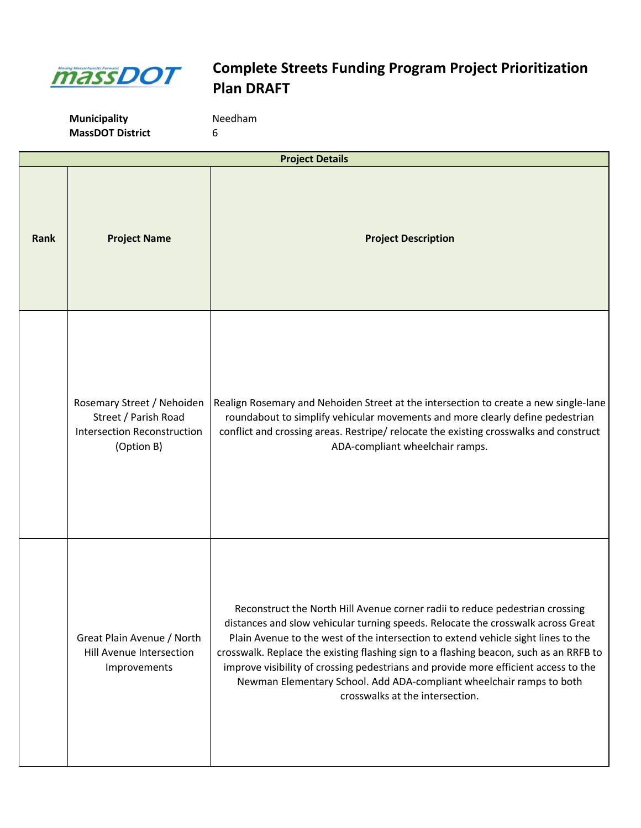

|      | <b>Project Details</b>                                                                                 |                                                                                                                                                                                                                                                                                                                                                                                                                                                                                                                                                   |  |
|------|--------------------------------------------------------------------------------------------------------|---------------------------------------------------------------------------------------------------------------------------------------------------------------------------------------------------------------------------------------------------------------------------------------------------------------------------------------------------------------------------------------------------------------------------------------------------------------------------------------------------------------------------------------------------|--|
| Rank | <b>Project Name</b>                                                                                    | <b>Project Description</b>                                                                                                                                                                                                                                                                                                                                                                                                                                                                                                                        |  |
|      | Rosemary Street / Nehoiden<br>Street / Parish Road<br><b>Intersection Reconstruction</b><br>(Option B) | Realign Rosemary and Nehoiden Street at the intersection to create a new single-lane<br>roundabout to simplify vehicular movements and more clearly define pedestrian<br>conflict and crossing areas. Restripe/relocate the existing crosswalks and construct<br>ADA-compliant wheelchair ramps.                                                                                                                                                                                                                                                  |  |
|      | Great Plain Avenue / North<br>Hill Avenue Intersection<br>Improvements                                 | Reconstruct the North Hill Avenue corner radii to reduce pedestrian crossing<br>distances and slow vehicular turning speeds. Relocate the crosswalk across Great<br>Plain Avenue to the west of the intersection to extend vehicle sight lines to the<br>crosswalk. Replace the existing flashing sign to a flashing beacon, such as an RRFB to<br>improve visibility of crossing pedestrians and provide more efficient access to the<br>Newman Elementary School. Add ADA-compliant wheelchair ramps to both<br>crosswalks at the intersection. |  |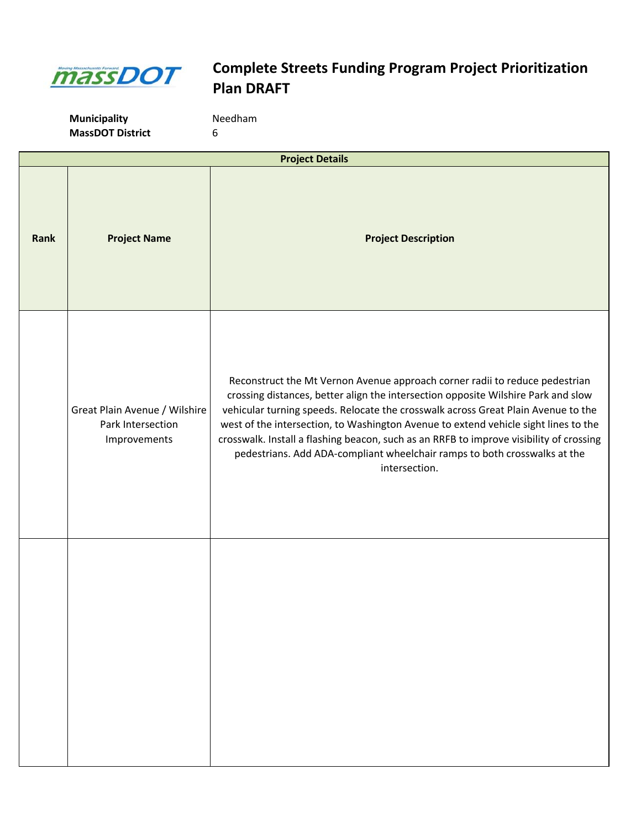

| <b>Project Details</b> |                                                                    |                                                                                                                                                                                                                                                                                                                                                                                                                                                                                                                                       |  |
|------------------------|--------------------------------------------------------------------|---------------------------------------------------------------------------------------------------------------------------------------------------------------------------------------------------------------------------------------------------------------------------------------------------------------------------------------------------------------------------------------------------------------------------------------------------------------------------------------------------------------------------------------|--|
| <b>Rank</b>            | <b>Project Name</b>                                                | <b>Project Description</b>                                                                                                                                                                                                                                                                                                                                                                                                                                                                                                            |  |
|                        | Great Plain Avenue / Wilshire<br>Park Intersection<br>Improvements | Reconstruct the Mt Vernon Avenue approach corner radii to reduce pedestrian<br>crossing distances, better align the intersection opposite Wilshire Park and slow<br>vehicular turning speeds. Relocate the crosswalk across Great Plain Avenue to the<br>west of the intersection, to Washington Avenue to extend vehicle sight lines to the<br>crosswalk. Install a flashing beacon, such as an RRFB to improve visibility of crossing<br>pedestrians. Add ADA-compliant wheelchair ramps to both crosswalks at the<br>intersection. |  |
|                        |                                                                    |                                                                                                                                                                                                                                                                                                                                                                                                                                                                                                                                       |  |